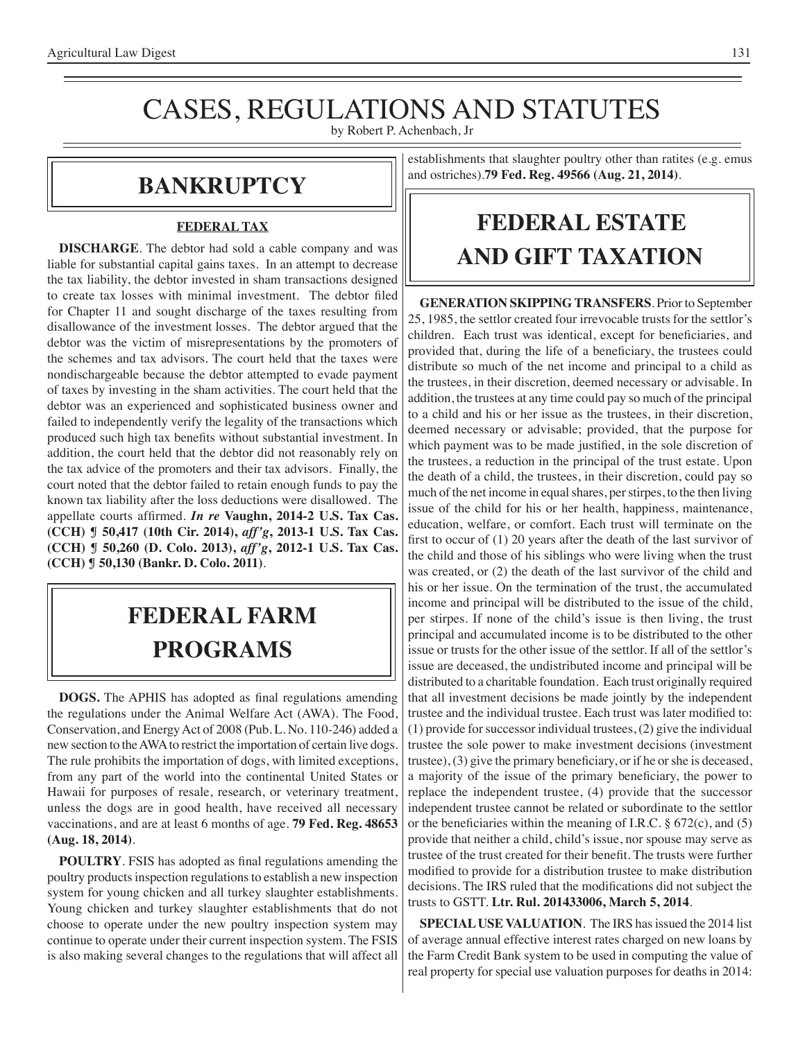# CASES, REGULATIONS AND STATUTES

by Robert P. Achenbach, Jr

### **Bankruptcy**

#### **FEDERAL TAX**

**DISCHARGE**. The debtor had sold a cable company and was liable for substantial capital gains taxes. In an attempt to decrease the tax liability, the debtor invested in sham transactions designed to create tax losses with minimal investment. The debtor filed for Chapter 11 and sought discharge of the taxes resulting from disallowance of the investment losses. The debtor argued that the debtor was the victim of misrepresentations by the promoters of the schemes and tax advisors. The court held that the taxes were nondischargeable because the debtor attempted to evade payment of taxes by investing in the sham activities. The court held that the debtor was an experienced and sophisticated business owner and failed to independently verify the legality of the transactions which produced such high tax benefits without substantial investment. In addition, the court held that the debtor did not reasonably rely on the tax advice of the promoters and their tax advisors. Finally, the court noted that the debtor failed to retain enough funds to pay the known tax liability after the loss deductions were disallowed. The appellate courts affirmed. *In re* **Vaughn, 2014-2 U.S. Tax Cas. (CCH) ¶ 50,417 (10th Cir. 2014),** *aff'g***, 2013-1 U.S. Tax Cas. (CCH) ¶ 50,260 (D. Colo. 2013),** *aff'g***, 2012-1 U.S. Tax Cas. (CCH) ¶ 50,130 (Bankr. D. Colo. 2011)**.

## **federal FARM PROGRAMS**

**DOGS.** The APHIS has adopted as final regulations amending the regulations under the Animal Welfare Act (AWA). The Food, Conservation, and Energy Act of 2008 (Pub. L. No. 110-246) added a new section to the AWA to restrict the importation of certain live dogs. The rule prohibits the importation of dogs, with limited exceptions, from any part of the world into the continental United States or Hawaii for purposes of resale, research, or veterinary treatment, unless the dogs are in good health, have received all necessary vaccinations, and are at least 6 months of age. **79 Fed. Reg. 48653 (Aug. 18, 2014)**.

**POULTRY**. FSIS has adopted as final regulations amending the poultry products inspection regulations to establish a new inspection system for young chicken and all turkey slaughter establishments. Young chicken and turkey slaughter establishments that do not choose to operate under the new poultry inspection system may continue to operate under their current inspection system. The FSIS is also making several changes to the regulations that will affect all

establishments that slaughter poultry other than ratites (e.g. emus and ostriches).**79 Fed. Reg. 49566 (Aug. 21, 2014)**.

## **FEDERAL ESTATE AND GIFT taxation**

**GENERATION SKIPPING TRANSFERS**. Prior to September 25, 1985, the settlor created four irrevocable trusts for the settlor's children. Each trust was identical, except for beneficiaries, and provided that, during the life of a beneficiary, the trustees could distribute so much of the net income and principal to a child as the trustees, in their discretion, deemed necessary or advisable. In addition, the trustees at any time could pay so much of the principal to a child and his or her issue as the trustees, in their discretion, deemed necessary or advisable; provided, that the purpose for which payment was to be made justified, in the sole discretion of the trustees, a reduction in the principal of the trust estate. Upon the death of a child, the trustees, in their discretion, could pay so much of the net income in equal shares, per stirpes, to the then living issue of the child for his or her health, happiness, maintenance, education, welfare, or comfort. Each trust will terminate on the first to occur of (1) 20 years after the death of the last survivor of the child and those of his siblings who were living when the trust was created, or (2) the death of the last survivor of the child and his or her issue. On the termination of the trust, the accumulated income and principal will be distributed to the issue of the child, per stirpes. If none of the child's issue is then living, the trust principal and accumulated income is to be distributed to the other issue or trusts for the other issue of the settlor. If all of the settlor's issue are deceased, the undistributed income and principal will be distributed to a charitable foundation. Each trust originally required that all investment decisions be made jointly by the independent trustee and the individual trustee. Each trust was later modified to: (1) provide for successor individual trustees, (2) give the individual trustee the sole power to make investment decisions (investment trustee), (3) give the primary beneficiary, or if he or she is deceased, a majority of the issue of the primary beneficiary, the power to replace the independent trustee, (4) provide that the successor independent trustee cannot be related or subordinate to the settlor or the beneficiaries within the meaning of I.R.C. § 672(c), and (5) provide that neither a child, child's issue, nor spouse may serve as trustee of the trust created for their benefit. The trusts were further modified to provide for a distribution trustee to make distribution decisions. The IRS ruled that the modifications did not subject the trusts to GSTT. **Ltr. Rul. 201433006, March 5, 2014**.

**SPECIAL USE VALUATION**. The IRS has issued the 2014 list of average annual effective interest rates charged on new loans by the Farm Credit Bank system to be used in computing the value of real property for special use valuation purposes for deaths in 2014: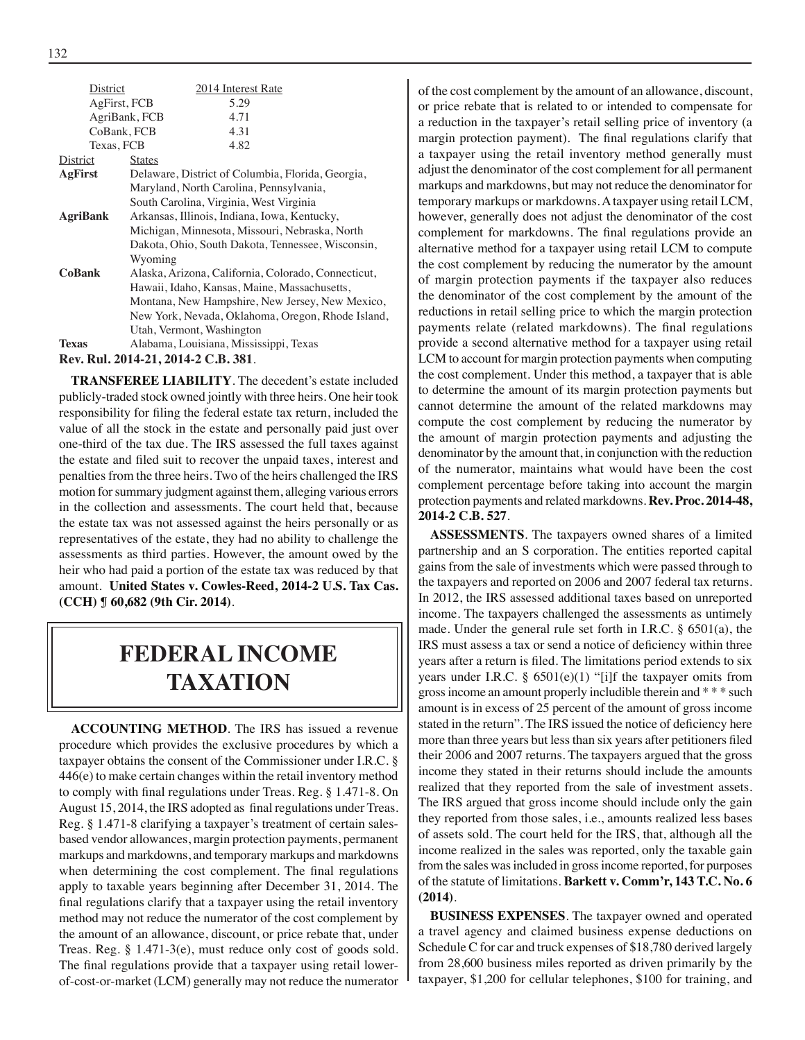| District                            | 2014 Interest Rate                                  |  |  |  |
|-------------------------------------|-----------------------------------------------------|--|--|--|
| AgFirst, FCB                        | 5.29                                                |  |  |  |
|                                     | AgriBank, FCB<br>4.71                               |  |  |  |
| CoBank, FCB                         | 4.31                                                |  |  |  |
| Texas, FCB                          | 4.82                                                |  |  |  |
| District                            | <b>States</b>                                       |  |  |  |
| AgFirst                             | Delaware, District of Columbia, Florida, Georgia,   |  |  |  |
|                                     | Maryland, North Carolina, Pennsylvania,             |  |  |  |
|                                     | South Carolina, Virginia, West Virginia             |  |  |  |
| <b>AgriBank</b>                     | Arkansas, Illinois, Indiana, Iowa, Kentucky,        |  |  |  |
|                                     | Michigan, Minnesota, Missouri, Nebraska, North      |  |  |  |
|                                     | Dakota, Ohio, South Dakota, Tennessee, Wisconsin,   |  |  |  |
|                                     | Wyoming                                             |  |  |  |
| <b>CoBank</b>                       | Alaska, Arizona, California, Colorado, Connecticut, |  |  |  |
|                                     | Hawaii, Idaho, Kansas, Maine, Massachusetts,        |  |  |  |
|                                     | Montana, New Hampshire, New Jersey, New Mexico,     |  |  |  |
|                                     | New York, Nevada, Oklahoma, Oregon, Rhode Island,   |  |  |  |
|                                     | Utah, Vermont, Washington                           |  |  |  |
| <b>Texas</b>                        | Alabama, Louisiana, Mississippi, Texas              |  |  |  |
| Rev. Rul. 2014-21, 2014-2 C.B. 381. |                                                     |  |  |  |

**TRANSFEREE LIABILITY**. The decedent's estate included publicly-traded stock owned jointly with three heirs. One heir took responsibility for filing the federal estate tax return, included the value of all the stock in the estate and personally paid just over one-third of the tax due. The IRS assessed the full taxes against the estate and filed suit to recover the unpaid taxes, interest and penalties from the three heirs. Two of the heirs challenged the IRS motion for summary judgment against them, alleging various errors in the collection and assessments. The court held that, because the estate tax was not assessed against the heirs personally or as representatives of the estate, they had no ability to challenge the assessments as third parties. However, the amount owed by the heir who had paid a portion of the estate tax was reduced by that amount. **United States v. Cowles-Reed, 2014-2 U.S. Tax Cas. (CCH) ¶ 60,682 (9th Cir. 2014)**.

### **federal income TAXATION**

**ACCOUNTING METHOD**. The IRS has issued a revenue procedure which provides the exclusive procedures by which a taxpayer obtains the consent of the Commissioner under I.R.C. § 446(e) to make certain changes within the retail inventory method to comply with final regulations under Treas. Reg. § 1.471-8. On August 15, 2014, the IRS adopted as final regulations under Treas. Reg. § 1.471-8 clarifying a taxpayer's treatment of certain salesbased vendor allowances, margin protection payments, permanent markups and markdowns, and temporary markups and markdowns when determining the cost complement. The final regulations apply to taxable years beginning after December 31, 2014. The final regulations clarify that a taxpayer using the retail inventory method may not reduce the numerator of the cost complement by the amount of an allowance, discount, or price rebate that, under Treas. Reg. § 1.471-3(e), must reduce only cost of goods sold. The final regulations provide that a taxpayer using retail lowerof-cost-or-market (LCM) generally may not reduce the numerator of the cost complement by the amount of an allowance, discount, or price rebate that is related to or intended to compensate for a reduction in the taxpayer's retail selling price of inventory (a margin protection payment). The final regulations clarify that a taxpayer using the retail inventory method generally must adjust the denominator of the cost complement for all permanent markups and markdowns, but may not reduce the denominator for temporary markups or markdowns. A taxpayer using retail LCM, however, generally does not adjust the denominator of the cost complement for markdowns. The final regulations provide an alternative method for a taxpayer using retail LCM to compute the cost complement by reducing the numerator by the amount of margin protection payments if the taxpayer also reduces the denominator of the cost complement by the amount of the reductions in retail selling price to which the margin protection payments relate (related markdowns). The final regulations provide a second alternative method for a taxpayer using retail LCM to account for margin protection payments when computing the cost complement. Under this method, a taxpayer that is able to determine the amount of its margin protection payments but cannot determine the amount of the related markdowns may compute the cost complement by reducing the numerator by the amount of margin protection payments and adjusting the denominator by the amount that, in conjunction with the reduction of the numerator, maintains what would have been the cost complement percentage before taking into account the margin protection payments and related markdowns. **Rev. Proc. 2014-48, 2014-2 C.B. 527**.

**ASSESSMENTS**. The taxpayers owned shares of a limited partnership and an S corporation. The entities reported capital gains from the sale of investments which were passed through to the taxpayers and reported on 2006 and 2007 federal tax returns. In 2012, the IRS assessed additional taxes based on unreported income. The taxpayers challenged the assessments as untimely made. Under the general rule set forth in I.R.C. § 6501(a), the IRS must assess a tax or send a notice of deficiency within three years after a return is filed. The limitations period extends to six years under I.R.C.  $\S$  6501(e)(1) "[i]f the taxpayer omits from gross income an amount properly includible therein and \* \* \* such amount is in excess of 25 percent of the amount of gross income stated in the return". The IRS issued the notice of deficiency here more than three years but less than six years after petitioners filed their 2006 and 2007 returns. The taxpayers argued that the gross income they stated in their returns should include the amounts realized that they reported from the sale of investment assets. The IRS argued that gross income should include only the gain they reported from those sales, i.e., amounts realized less bases of assets sold. The court held for the IRS, that, although all the income realized in the sales was reported, only the taxable gain from the sales was included in gross income reported, for purposes of the statute of limitations. **Barkett v. Comm'r, 143 T.C. No. 6 (2014)**.

**BUSINESS EXPENSES**. The taxpayer owned and operated a travel agency and claimed business expense deductions on Schedule C for car and truck expenses of \$18,780 derived largely from 28,600 business miles reported as driven primarily by the taxpayer, \$1,200 for cellular telephones, \$100 for training, and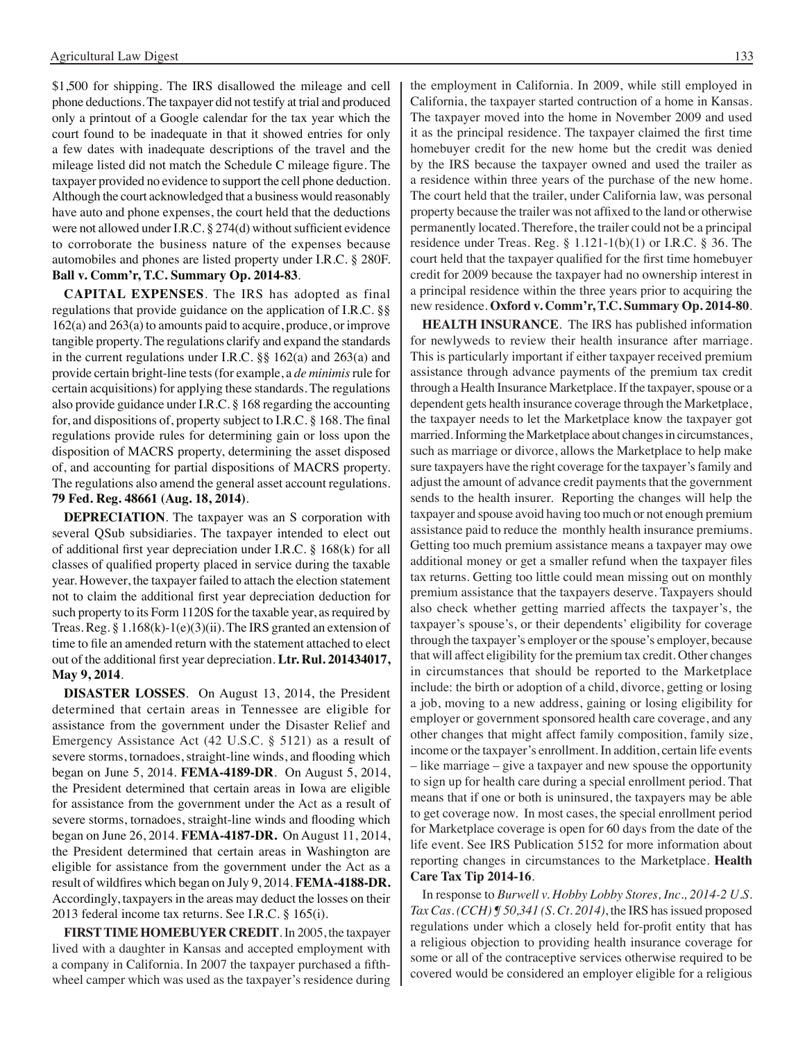\$1,500 for shipping. The IRS disallowed the mileage and cell phone deductions. The taxpayer did not testify at trial and produced only a printout of a Google calendar for the tax year which the court found to be inadequate in that it showed entries for only a few dates with inadequate descriptions of the travel and the mileage listed did not match the Schedule C mileage figure. The taxpayer provided no evidence to support the cell phone deduction. Although the court acknowledged that a business would reasonably have auto and phone expenses, the court held that the deductions were not allowed under I.R.C. § 274(d) without sufficient evidence to corroborate the business nature of the expenses because automobiles and phones are listed property under I.R.C. § 280F. **Ball v. Comm'r, T.C. Summary Op. 2014-83**.

**CAPITAL EXPENSES**. The IRS has adopted as final regulations that provide guidance on the application of I.R.C. §§ 162(a) and 263(a) to amounts paid to acquire, produce, or improve tangible property. The regulations clarify and expand the standards in the current regulations under I.R.C. §§ 162(a) and 263(a) and provide certain bright-line tests (for example, a *de minimis* rule for certain acquisitions) for applying these standards. The regulations also provide guidance under I.R.C. § 168 regarding the accounting for, and dispositions of, property subject to I.R.C. § 168. The final regulations provide rules for determining gain or loss upon the disposition of MACRS property, determining the asset disposed of, and accounting for partial dispositions of MACRS property. The regulations also amend the general asset account regulations. **79 Fed. Reg. 48661 (Aug. 18, 2014)**.

**DEPRECIATION**. The taxpayer was an S corporation with several QSub subsidiaries. The taxpayer intended to elect out of additional first year depreciation under I.R.C. § 168(k) for all classes of qualified property placed in service during the taxable year. However, the taxpayer failed to attach the election statement not to claim the additional first year depreciation deduction for such property to its Form 1120S for the taxable year, as required by Treas. Reg. § 1.168(k)-1(e)(3)(ii). The IRS granted an extension of time to file an amended return with the statement attached to elect out of the additional first year depreciation. **Ltr. Rul. 201434017, May 9, 2014**.

**DISASTER LOSSES**. On August 13, 2014, the President determined that certain areas in Tennessee are eligible for assistance from the government under the Disaster Relief and Emergency Assistance Act (42 U.S.C. § 5121) as a result of severe storms, tornadoes, straight-line winds, and flooding which began on June 5, 2014. **FEMA-4189-DR**. On August 5, 2014, the President determined that certain areas in Iowa are eligible for assistance from the government under the Act as a result of severe storms, tornadoes, straight-line winds and flooding which began on June 26, 2014. **FEMA-4187-DR.** On August 11, 2014, the President determined that certain areas in Washington are eligible for assistance from the government under the Act as a result of wildfires which began on July 9, 2014. **FEMA-4188-DR.**  Accordingly, taxpayers in the areas may deduct the losses on their 2013 federal income tax returns. See I.R.C. § 165(i).

**FIRST TIME HOMEBUYER CREDIT**. In 2005, the taxpayer lived with a daughter in Kansas and accepted employment with a company in California. In 2007 the taxpayer purchased a fifthwheel camper which was used as the taxpayer's residence during the employment in California. In 2009, while still employed in California, the taxpayer started contruction of a home in Kansas. The taxpayer moved into the home in November 2009 and used it as the principal residence. The taxpayer claimed the first time homebuyer credit for the new home but the credit was denied by the IRS because the taxpayer owned and used the trailer as a residence within three years of the purchase of the new home. The court held that the trailer, under California law, was personal property because the trailer was not affixed to the land or otherwise permanently located. Therefore, the trailer could not be a principal residence under Treas. Reg. § 1.121-1(b)(1) or I.R.C. § 36. The court held that the taxpayer qualified for the first time homebuyer credit for 2009 because the taxpayer had no ownership interest in a principal residence within the three years prior to acquiring the new residence. **Oxford v. Comm'r, T.C. Summary Op. 2014-80**.

**HEALTH INSURANCE**. The IRS has published information for newlyweds to review their health insurance after marriage. This is particularly important if either taxpayer received premium assistance through advance payments of the premium tax credit through a Health Insurance Marketplace. If the taxpayer, spouse or a dependent gets health insurance coverage through the Marketplace, the taxpayer needs to let the Marketplace know the taxpayer got married. Informing the Marketplace about changes in circumstances, such as marriage or divorce, allows the Marketplace to help make sure taxpayers have the right coverage for the taxpayer's family and adjust the amount of advance credit payments that the government sends to the health insurer. Reporting the changes will help the taxpayer and spouse avoid having too much or not enough premium assistance paid to reduce the monthly health insurance premiums. Getting too much premium assistance means a taxpayer may owe additional money or get a smaller refund when the taxpayer files tax returns. Getting too little could mean missing out on monthly premium assistance that the taxpayers deserve. Taxpayers should also check whether getting married affects the taxpayer's, the taxpayer's spouse's, or their dependents' eligibility for coverage through the taxpayer's employer or the spouse's employer, because that will affect eligibility for the premium tax credit. Other changes in circumstances that should be reported to the Marketplace include: the birth or adoption of a child, divorce, getting or losing a job, moving to a new address, gaining or losing eligibility for employer or government sponsored health care coverage, and any other changes that might affect family composition, family size, income or the taxpayer's enrollment. In addition, certain life events – like marriage – give a taxpayer and new spouse the opportunity to sign up for health care during a special enrollment period. That means that if one or both is uninsured, the taxpayers may be able to get coverage now. In most cases, the special enrollment period for Marketplace coverage is open for 60 days from the date of the life event. See IRS Publication 5152 for more information about reporting changes in circumstances to the Marketplace. **Health Care Tax Tip 2014-16**.

In response to *Burwell v. Hobby Lobby Stores, Inc., 2014-2 U.S. Tax Cas. (CCH) ¶ 50,341 (S. Ct. 2014)*, the IRS has issued proposed regulations under which a closely held for-profit entity that has a religious objection to providing health insurance coverage for some or all of the contraceptive services otherwise required to be covered would be considered an employer eligible for a religious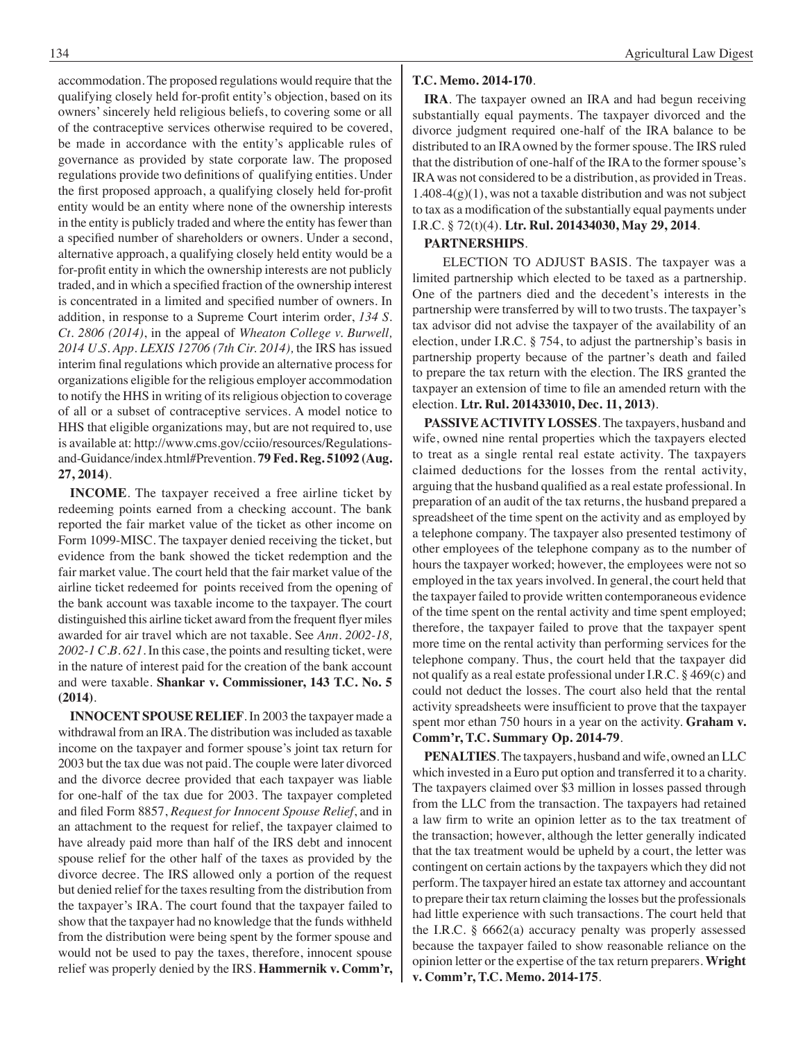accommodation. The proposed regulations would require that the qualifying closely held for-profit entity's objection, based on its owners' sincerely held religious beliefs, to covering some or all of the contraceptive services otherwise required to be covered, be made in accordance with the entity's applicable rules of governance as provided by state corporate law. The proposed regulations provide two definitions of qualifying entities. Under the first proposed approach, a qualifying closely held for-profit entity would be an entity where none of the ownership interests in the entity is publicly traded and where the entity has fewer than a specified number of shareholders or owners. Under a second, alternative approach, a qualifying closely held entity would be a for-profit entity in which the ownership interests are not publicly traded, and in which a specified fraction of the ownership interest is concentrated in a limited and specified number of owners. In addition, in response to a Supreme Court interim order, *134 S. Ct. 2806 (2014)*, in the appeal of *Wheaton College v. Burwell, 2014 U.S. App. LEXIS 12706 (7th Cir. 2014),* the IRS has issued interim final regulations which provide an alternative process for organizations eligible for the religious employer accommodation to notify the HHS in writing of its religious objection to coverage of all or a subset of contraceptive services. A model notice to HHS that eligible organizations may, but are not required to, use is available at: http://www.cms.gov/cciio/resources/Regulationsand-Guidance/index.html#Prevention. **79 Fed. Reg. 51092 (Aug. 27, 2014)**.

**INCOME**. The taxpayer received a free airline ticket by redeeming points earned from a checking account. The bank reported the fair market value of the ticket as other income on Form 1099-MISC. The taxpayer denied receiving the ticket, but evidence from the bank showed the ticket redemption and the fair market value. The court held that the fair market value of the airline ticket redeemed for points received from the opening of the bank account was taxable income to the taxpayer. The court distinguished this airline ticket award from the frequent flyer miles awarded for air travel which are not taxable. See *Ann. 2002-18, 2002-1 C.B. 621*. In this case, the points and resulting ticket, were in the nature of interest paid for the creation of the bank account and were taxable. **Shankar v. Commissioner, 143 T.C. No. 5 (2014)**.

**INNOCENT SPOUSE RELIEF**. In 2003 the taxpayer made a withdrawal from an IRA. The distribution was included as taxable income on the taxpayer and former spouse's joint tax return for 2003 but the tax due was not paid. The couple were later divorced and the divorce decree provided that each taxpayer was liable for one-half of the tax due for 2003. The taxpayer completed and filed Form 8857, *Request for Innocent Spouse Relief*, and in an attachment to the request for relief, the taxpayer claimed to have already paid more than half of the IRS debt and innocent spouse relief for the other half of the taxes as provided by the divorce decree. The IRS allowed only a portion of the request but denied relief for the taxes resulting from the distribution from the taxpayer's IRA. The court found that the taxpayer failed to show that the taxpayer had no knowledge that the funds withheld from the distribution were being spent by the former spouse and would not be used to pay the taxes, therefore, innocent spouse relief was properly denied by the IRS. **Hammernik v. Comm'r,** 

#### **T.C. Memo. 2014-170**.

**IRA**. The taxpayer owned an IRA and had begun receiving substantially equal payments. The taxpayer divorced and the divorce judgment required one-half of the IRA balance to be distributed to an IRA owned by the former spouse. The IRS ruled that the distribution of one-half of the IRA to the former spouse's IRA was not considered to be a distribution, as provided in Treas.  $1.408-4(g)(1)$ , was not a taxable distribution and was not subject to tax as a modification of the substantially equal payments under I.R.C. § 72(t)(4). **Ltr. Rul. 201434030, May 29, 2014**.

#### **PARTNERSHIPS**.

ELECTION TO ADJUST BASIS. The taxpayer was a limited partnership which elected to be taxed as a partnership. One of the partners died and the decedent's interests in the partnership were transferred by will to two trusts. The taxpayer's tax advisor did not advise the taxpayer of the availability of an election, under I.R.C. § 754, to adjust the partnership's basis in partnership property because of the partner's death and failed to prepare the tax return with the election. The IRS granted the taxpayer an extension of time to file an amended return with the election. **Ltr. Rul. 201433010, Dec. 11, 2013)**.

**PASSIVE ACTIVITY LOSSES**. The taxpayers, husband and wife, owned nine rental properties which the taxpayers elected to treat as a single rental real estate activity. The taxpayers claimed deductions for the losses from the rental activity, arguing that the husband qualified as a real estate professional. In preparation of an audit of the tax returns, the husband prepared a spreadsheet of the time spent on the activity and as employed by a telephone company. The taxpayer also presented testimony of other employees of the telephone company as to the number of hours the taxpayer worked; however, the employees were not so employed in the tax years involved. In general, the court held that the taxpayer failed to provide written contemporaneous evidence of the time spent on the rental activity and time spent employed; therefore, the taxpayer failed to prove that the taxpayer spent more time on the rental activity than performing services for the telephone company. Thus, the court held that the taxpayer did not qualify as a real estate professional under I.R.C. § 469(c) and could not deduct the losses. The court also held that the rental activity spreadsheets were insufficient to prove that the taxpayer spent mor ethan 750 hours in a year on the activity. **Graham v. Comm'r, T.C. Summary Op. 2014-79**.

**PENALTIES**. The taxpayers, husband and wife, owned an LLC which invested in a Euro put option and transferred it to a charity. The taxpayers claimed over \$3 million in losses passed through from the LLC from the transaction. The taxpayers had retained a law firm to write an opinion letter as to the tax treatment of the transaction; however, although the letter generally indicated that the tax treatment would be upheld by a court, the letter was contingent on certain actions by the taxpayers which they did not perform. The taxpayer hired an estate tax attorney and accountant to prepare their tax return claiming the losses but the professionals had little experience with such transactions. The court held that the I.R.C. § 6662(a) accuracy penalty was properly assessed because the taxpayer failed to show reasonable reliance on the opinion letter or the expertise of the tax return preparers. **Wright v. Comm'r, T.C. Memo. 2014-175**.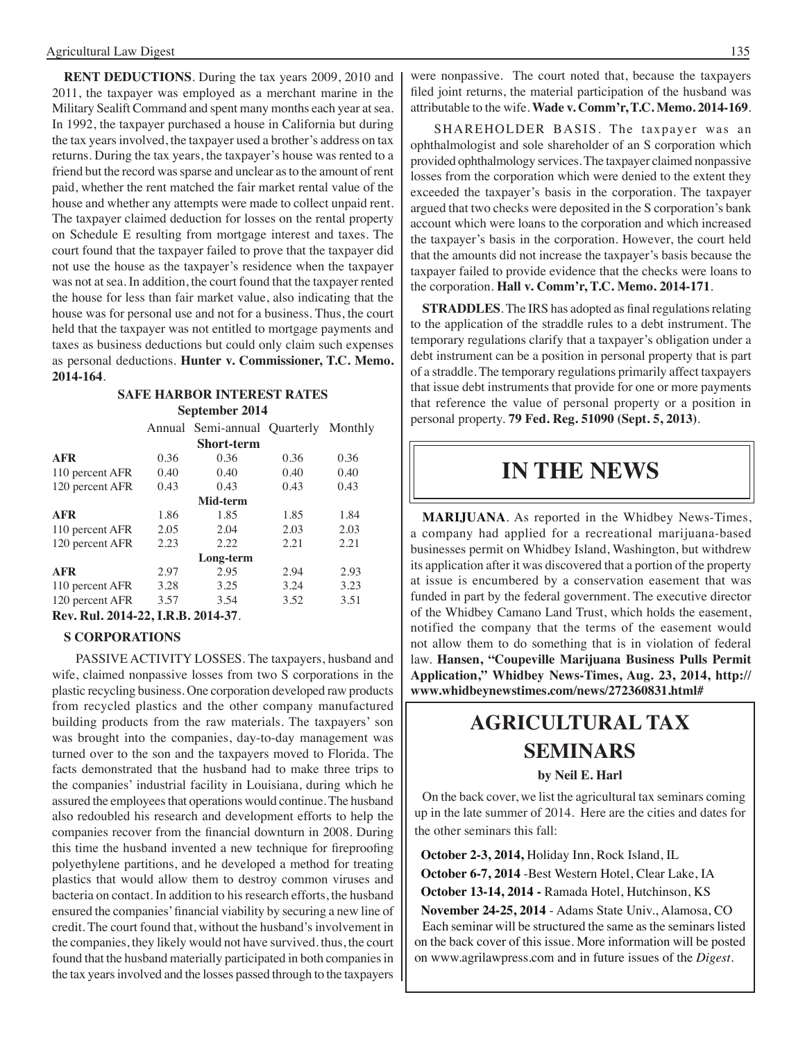**RENT DEDUCTIONS**. During the tax years 2009, 2010 and 2011, the taxpayer was employed as a merchant marine in the Military Sealift Command and spent many months each year at sea. In 1992, the taxpayer purchased a house in California but during the tax years involved, the taxpayer used a brother's address on tax returns. During the tax years, the taxpayer's house was rented to a friend but the record was sparse and unclear as to the amount of rent paid, whether the rent matched the fair market rental value of the house and whether any attempts were made to collect unpaid rent. The taxpayer claimed deduction for losses on the rental property on Schedule E resulting from mortgage interest and taxes. The court found that the taxpayer failed to prove that the taxpayer did not use the house as the taxpayer's residence when the taxpayer was not at sea. In addition, the court found that the taxpayer rented the house for less than fair market value, also indicating that the house was for personal use and not for a business. Thus, the court held that the taxpayer was not entitled to mortgage payments and taxes as business deductions but could only claim such expenses as personal deductions. **Hunter v. Commissioner, T.C. Memo. 2014-164**.

#### **Safe Harbor interest rates September 2014**

|                                             |      | Annual Semi-annual Quarterly Monthly |      |      |
|---------------------------------------------|------|--------------------------------------|------|------|
|                                             |      | <b>Short-term</b>                    |      |      |
| <b>AFR</b>                                  | 0.36 | 0.36                                 | 0.36 | 0.36 |
| 110 percent AFR                             | 0.40 | 0.40                                 | 0.40 | 0.40 |
| 120 percent AFR                             | 0.43 | 0.43                                 | 0.43 | 0.43 |
|                                             |      | Mid-term                             |      |      |
| <b>AFR</b>                                  | 1.86 | 1.85                                 | 1.85 | 1.84 |
| 110 percent AFR                             | 2.05 | 2.04                                 | 2.03 | 2.03 |
| 120 percent AFR                             | 2.23 | 2.22                                 | 2.21 | 2.21 |
|                                             |      | Long-term                            |      |      |
| <b>AFR</b>                                  | 2.97 | 2.95                                 | 2.94 | 2.93 |
| 110 percent AFR                             | 3.28 | 3.25                                 | 3.24 | 3.23 |
| 120 percent AFR                             | 3.57 | 3.54                                 | 3.52 | 3.51 |
| $D_{\alpha x}$ , $D_{\alpha 1}$ , $2014.22$ | D D  | 2014.27                              |      |      |

**Rev. Rul. 2014-22, I.R.B. 2014-37**.

#### **S CORPORATIONS**

PASSIVE ACTIVITY LOSSES. The taxpayers, husband and wife, claimed nonpassive losses from two S corporations in the plastic recycling business. One corporation developed raw products from recycled plastics and the other company manufactured building products from the raw materials. The taxpayers' son was brought into the companies, day-to-day management was turned over to the son and the taxpayers moved to Florida. The facts demonstrated that the husband had to make three trips to the companies' industrial facility in Louisiana, during which he assured the employees that operations would continue. The husband also redoubled his research and development efforts to help the companies recover from the financial downturn in 2008. During this time the husband invented a new technique for fireproofing polyethylene partitions, and he developed a method for treating plastics that would allow them to destroy common viruses and bacteria on contact. In addition to his research efforts, the husband ensured the companies' financial viability by securing a new line of credit. The court found that, without the husband's involvement in the companies, they likely would not have survived. thus, the court found that the husband materially participated in both companies in the tax years involved and the losses passed through to the taxpayers were nonpassive. The court noted that, because the taxpayers filed joint returns, the material participation of the husband was attributable to the wife. **Wade v. Comm'r, T.C. Memo. 2014-169**.

SHAREHOLDER BASIS. The taxpayer was an ophthalmologist and sole shareholder of an S corporation which provided ophthalmology services. The taxpayer claimed nonpassive losses from the corporation which were denied to the extent they exceeded the taxpayer's basis in the corporation. The taxpayer argued that two checks were deposited in the S corporation's bank account which were loans to the corporation and which increased the taxpayer's basis in the corporation. However, the court held that the amounts did not increase the taxpayer's basis because the taxpayer failed to provide evidence that the checks were loans to the corporation. **Hall v. Comm'r, T.C. Memo. 2014-171**.

**STRADDLES**. The IRS has adopted as final regulations relating to the application of the straddle rules to a debt instrument. The temporary regulations clarify that a taxpayer's obligation under a debt instrument can be a position in personal property that is part of a straddle. The temporary regulations primarily affect taxpayers that issue debt instruments that provide for one or more payments that reference the value of personal property or a position in personal property. **79 Fed. Reg. 51090 (Sept. 5, 2013)**.

### **in the news**

**MARIJUANA**. As reported in the Whidbey News-Times, a company had applied for a recreational marijuana-based businesses permit on Whidbey Island, Washington, but withdrew its application after it was discovered that a portion of the property at issue is encumbered by a conservation easement that was funded in part by the federal government. The executive director of the Whidbey Camano Land Trust, which holds the easement, notified the company that the terms of the easement would not allow them to do something that is in violation of federal law. **Hansen, "Coupeville Marijuana Business Pulls Permit Application," Whidbey News-Times, Aug. 23, 2014, http:// www.whidbeynewstimes.com/news/272360831.html#**

### **Agricultural tax seminars**

#### **by Neil E. Harl**

On the back cover, we list the agricultural tax seminars coming up in the late summer of 2014. Here are the cities and dates for the other seminars this fall:

 **October 2-3, 2014,** Holiday Inn, Rock Island, IL  **October 6-7, 2014** -Best Western Hotel, Clear Lake, IA  **October 13-14, 2014 -** Ramada Hotel, Hutchinson, KS  **November 24-25, 2014** - Adams State Univ., Alamosa, CO Each seminar will be structured the same as the seminars listed on the back cover of this issue. More information will be posted on www.agrilawpress.com and in future issues of the *Digest*.